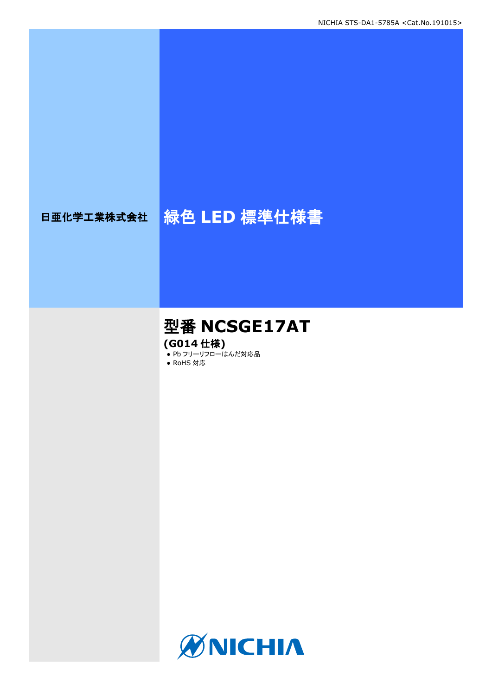# 日亜化学工業株式会社 <mark>緑色 LED 標準仕様書</mark>

## 型番 **NCSGE17AT (G014** 仕様**)**

● Pb フリーリフローはんだ対応品

● RoHS 対応

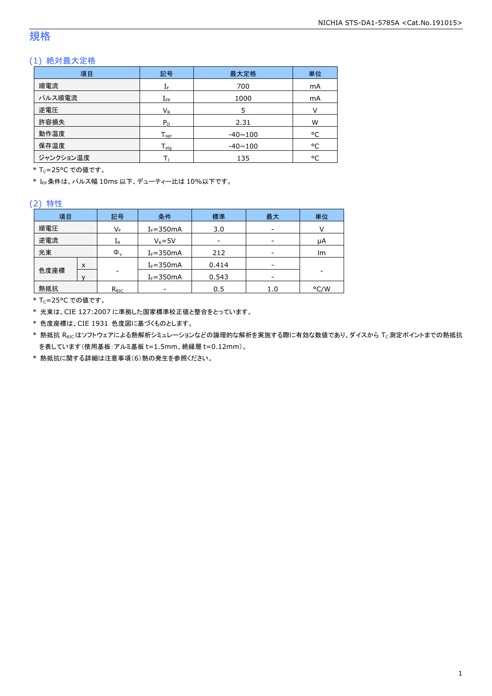### 規格

### (1) 絶対最大定格

| 項目        | 記号                           | 最大定格           | 単位 |
|-----------|------------------------------|----------------|----|
| 順電流       | ΙF                           | 700            | mA |
| パルス順電流    | $I_{\mathsf{FP}}$            | 1000           | mA |
| 逆電圧       | $V_{R}$                      | 5              | v  |
| 許容損失      | $P_D$                        | 2.31           | W  |
| 動作温度      | ${\mathsf T}_{\textsf{opr}}$ | $-40 \sim 100$ | °C |
| 保存温度      | $T_{\text{stg}}$             | $-40 \sim 100$ | °C |
| ジャンクション温度 |                              | 135            | °C |

\* Tc=25°C での値です。

\* IFP条件は、パルス幅 10ms 以下、デューティー比は 10%以下です。

### (2) 特性

| 項目   |   | 記号                      | 条件            | 標準                       | 最大  | 単位   |
|------|---|-------------------------|---------------|--------------------------|-----|------|
| 順電圧  |   | $\mathsf{V}_\mathsf{F}$ | $I_F = 350mA$ | 3.0                      | -   |      |
| 逆電流  |   | ${\rm I}_{\mathsf{R}}$  | $V_R = 5V$    | $\overline{\phantom{0}}$ | -   | μA   |
| 光束   |   | $\Phi_{\rm v}$          | $I_F = 350mA$ | 212                      | -   | lm   |
|      | X |                         | $I_F = 350mA$ | 0.414                    | -   |      |
| 色度座標 |   | -                       | $I_F = 350mA$ | 0.543                    | -   |      |
| 熱抵抗  |   | $R_{\theta$ JC          |               | 0.5                      | 1.0 | °C/W |

\* Tc=25°C での値です。

\* 光束は、CIE 127:2007 に準拠した国家標準校正値と整合をとっています。

\* 色度座標は、CIE 1931 色度図に基づくものとします。

\* 熱抵抗 Rejcはソフトウェアによる熱解析シミュレーションなどの論理的な解析を実施する際に有効な数値であり、ダイスから Tc測定ポイントまでの熱抵抗 を表しています(使用基板:アルミ基板 t=1.5mm、絶縁層 t=0.12mm)。

\* 熱抵抗に関する詳細は注意事項(6)熱の発生を参照ください。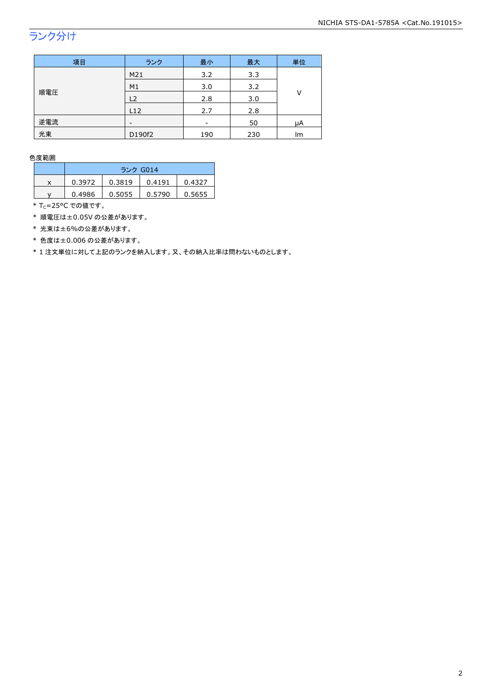### ランク分け

| 項目  | ランク    | 最小                       | 最大  | 単位 |
|-----|--------|--------------------------|-----|----|
|     | M21    | 3.2                      | 3.3 |    |
| 順電圧 | M1     | 3.0                      | 3.2 | V  |
|     | L2     | 2.8                      | 3.0 |    |
|     | L12    | 2.7                      | 2.8 |    |
| 逆電流 |        | $\overline{\phantom{0}}$ | 50  | μA |
| 光束  | D190f2 | 190                      | 230 | lm |

色度範囲

|   | ランク G014 |        |        |        |
|---|----------|--------|--------|--------|
| x | 0.3972   | 0.3819 | 0.4191 | 0.4327 |
|   | 0.4986   | 0.5055 | 0.5790 | 0.5655 |

\* Tc=25°C での値です。

\* 順電圧は±0.05V の公差があります。

\* 光束は±6%の公差があります。

\* 色度は±0.006 の公差があります。

\* 1 注文単位に対して上記のランクを納入します。又、その納入比率は問わないものとします。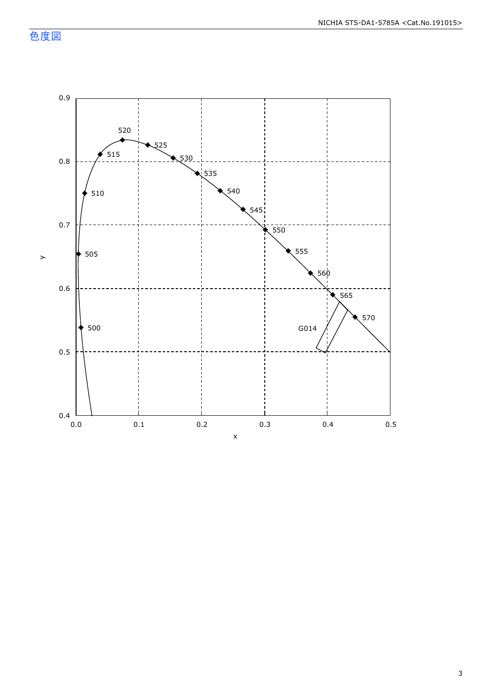色度図

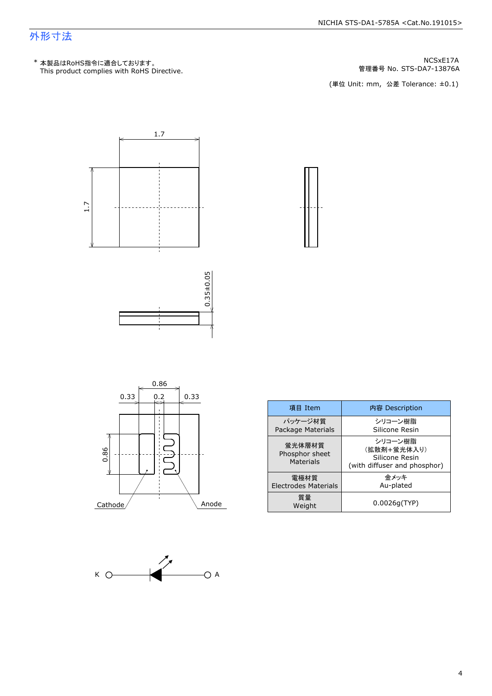### 外形寸法

管理番号 No.





| 項目 Item                                      | 内容 Description                                                           |
|----------------------------------------------|--------------------------------------------------------------------------|
| パッケージ材質<br>Package Materials                 | シリコーン樹脂<br>Silicone Resin                                                |
| 蛍光体層材質<br>Phosphor sheet<br><b>Materials</b> | シリコーン樹脂<br>(拡散剤+蛍光体入り)<br>Silicone Resin<br>(with diffuser and phosphor) |
| 電極材質<br><b>Electrodes Materials</b>          | 金メッキ<br>Au-plated                                                        |
| 質量<br>Weight                                 | 0.0026q(TYP)                                                             |



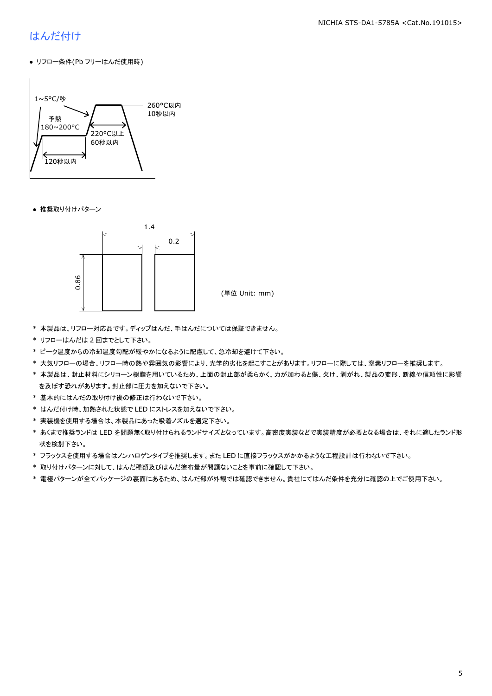### はんだ付け

● リフロー条件(Pb フリーはんだ使用時)



● 推奨取り付けパターン



- \* 本製品は、リフロー対応品です。ディップはんだ、手はんだについては保証できません。
- \* リフローはんだは 2 回までとして下さい。
- \* ピーク温度からの冷却温度勾配が緩やかになるように配慮して、急冷却を避けて下さい。
- \* 大気リフローの場合、リフロー時の熱や雰囲気の影響により、光学的劣化を起こすことがあります。リフローに際しては、窒素リフローを推奨します。
- \* 本製品は、封止材料にシリコーン樹脂を用いているため、上面の封止部が柔らかく、力が加わると傷、欠け、剥がれ、製品の変形、断線や信頼性に影響 を及ぼす恐れがあります。封止部に圧力を加えないで下さい。
- \* 基本的にはんだの取り付け後の修正は行わないで下さい。
- \* はんだ付け時、加熱された状態で LED にストレスを加えないで下さい。
- \* 実装機を使用する場合は、本製品にあった吸着ノズルを選定下さい。
- \* あくまで推奨ランドは LED を問題無く取り付けられるランドサイズとなっています。高密度実装などで実装精度が必要となる場合は、それに適したランド形 状を検討下さい。
- \* フラックスを使用する場合はノンハロゲンタイプを推奨します。また LED に直接フラックスがかかるような工程設計は行わないで下さい。
- \* 取り付けパターンに対して、はんだ種類及びはんだ塗布量が問題ないことを事前に確認して下さい。
- \* 電極パターンが全てパッケージの裏面にあるため、はんだ部が外観では確認できません。貴社にてはんだ条件を充分に確認の上でご使用下さい。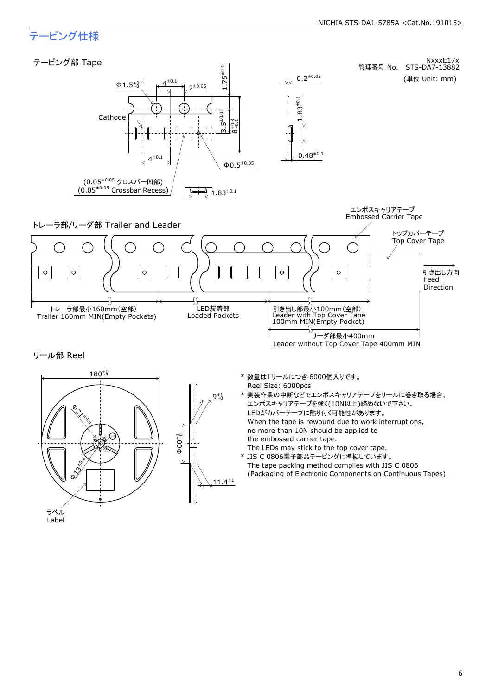### テーピング仕様

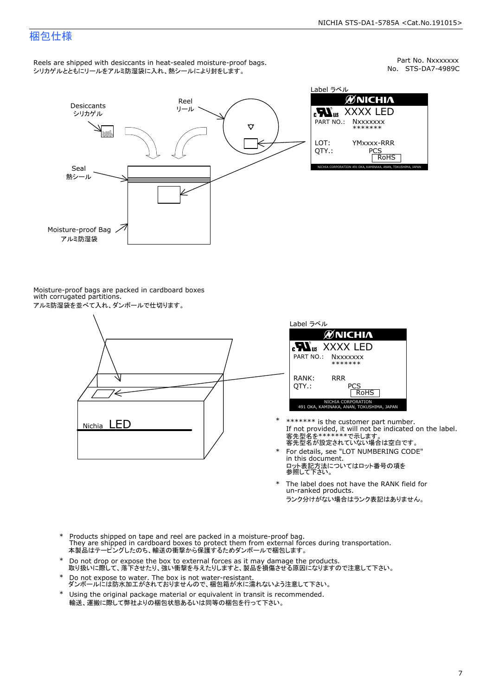### 梱包仕様

Part No. Nxxxxxxx<br>No. STS-DA7-4989C



**ROW SAMARY NO.:**<br>PART NO.: NXXXXXXX<br>LOT: YMXXXX-RRR<br>QTY.: PCS

Moisture-proof bags are packed in cardboard boxes with corrugated partitions. アルミ防湿袋を並べて入れ、ダンボールで仕切ります。





- \*\*\*\*\*\*\*\* is the customer part number.<br>If not provided, it will not be indicated on the label.<br>客先型名を\*\*\*\*\*\*\*で示します。<br>客先型名が設定されていない場合は空白です。
- For details, see "LOT NUMBERING CODE" in this document. ロット表記方法についてはロット番号の項を<br>参照して下さい。 \*
- The label does not have the RANK field for un-ranked products. ランク分けがない場合はランク表記はありません。 \*
- Products shipped on tape and reel are packed in a moisture-proof bag. They are shipped in cardboard boxes to protect them from external forces during transportation. 本製品はテーピングしたのち、輸送の衝撃から保護するためダンボールで梱包します。 \*
- Do not drop or expose the box to external forces as it may damage the products. \*
- 取り扱いに際して、落下させたり、強い衝撃を与えたりしますと、製品を損傷させる原因になりますので注意して下さい。
- \* Do not expose to water. The box is not water-resistant.<br>ダンボールには防水加工がされておりませんので、梱包箱が水に濡れないよう注意して下さい。
- \* Using the original package material or equivalent in transit is recommended. 輸送、運搬に際して弊社よりの梱包状態あるいは同等の梱包を行って下さい。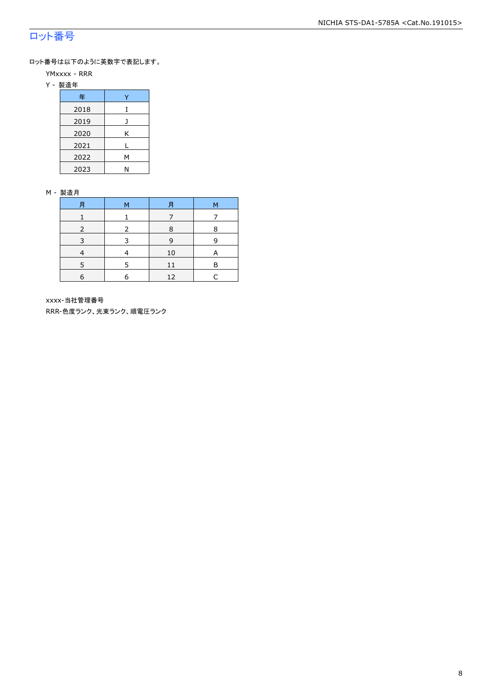### ロット番号

ロット番号は以下のように英数字で表記します。

- YMxxxx RRR
- Y 製造年

| 年    |   |  |  |  |
|------|---|--|--|--|
| 2018 | T |  |  |  |
| 2019 |   |  |  |  |
| 2020 | Κ |  |  |  |
| 2021 |   |  |  |  |
| 2022 | М |  |  |  |
| 2023 | Ν |  |  |  |

#### M - 製造月

| 月          | M | 月  | М |
|------------|---|----|---|
|            |   |    |   |
|            |   | 8  | 8 |
| 3          | ₹ | 9  | q |
|            |   | 10 |   |
|            | 5 | 11 | R |
| $\epsilon$ | 6 | 12 |   |

xxxx-当社管理番号

RRR-色度ランク、光束ランク、順電圧ランク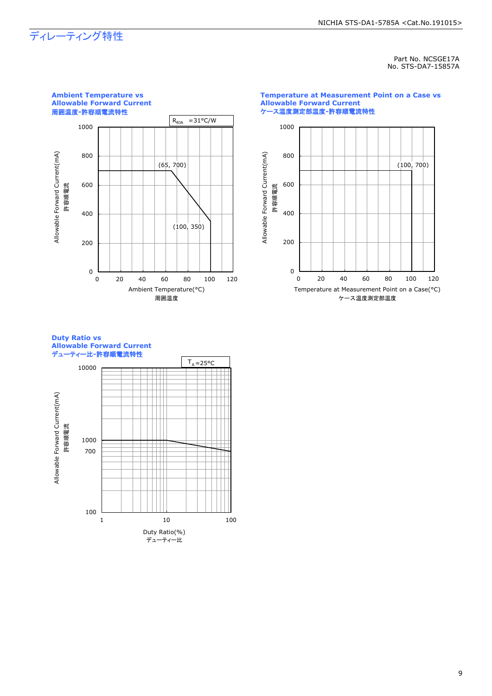### ディレーティング特性

Part No. NCSGE17A No. STS-DA7-15857A



#### **Temperature at Measurement Point on a Case vs Allowable Forward Current** ケース温度測定部温度**-**許容順電流特性



#### **Duty Ratio vs Allowable Forward Current** デューティー比**-**許容順電流特性

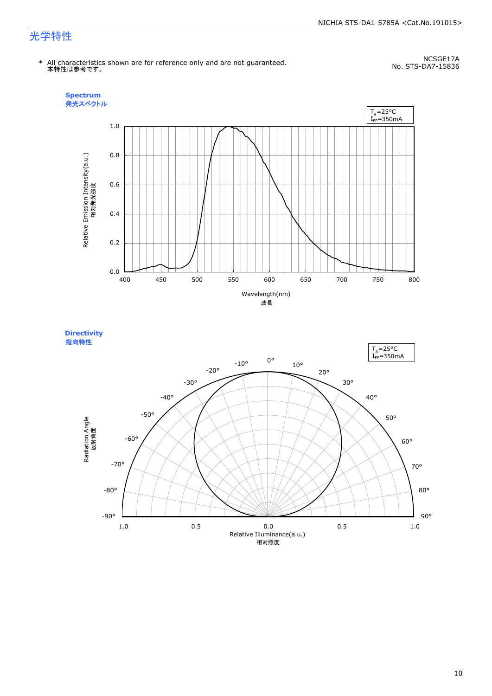#### NICHIA STS-DA1-5785A <Cat.No.191015>

### 光学特性

\* All characteristics shown are for reference only and are not guaranteed. 本特性は参考です。

NCSGE17A No. STS-DA7-15836



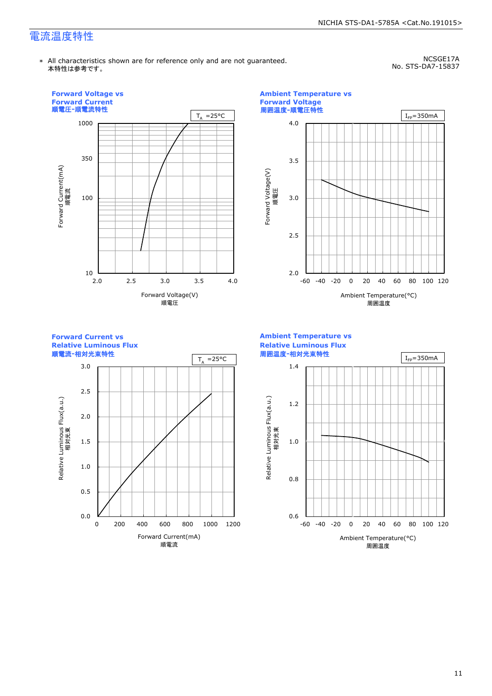### 電流温度特性

\* All characteristics shown are for reference only and are not guaranteed. 本特性は参考です。

#### NCSGE17A No. STS-DA7-15837

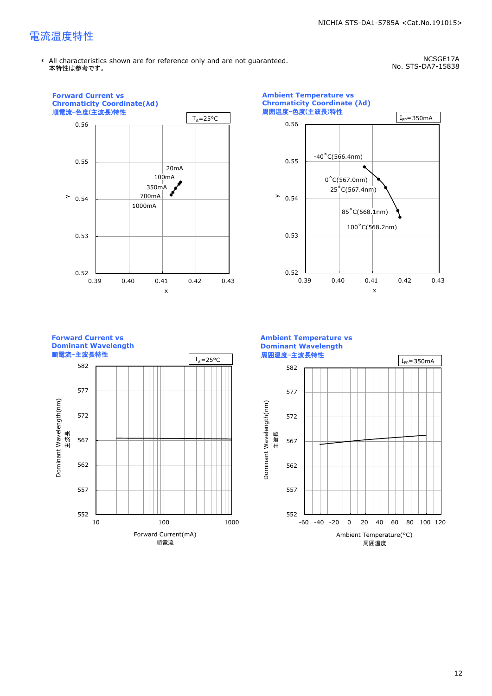### 電流温度特性

\* All characteristics shown are for reference only and are not guaranteed. 本特性は参考です。

NCSGE17A No. STS-DA7-15838





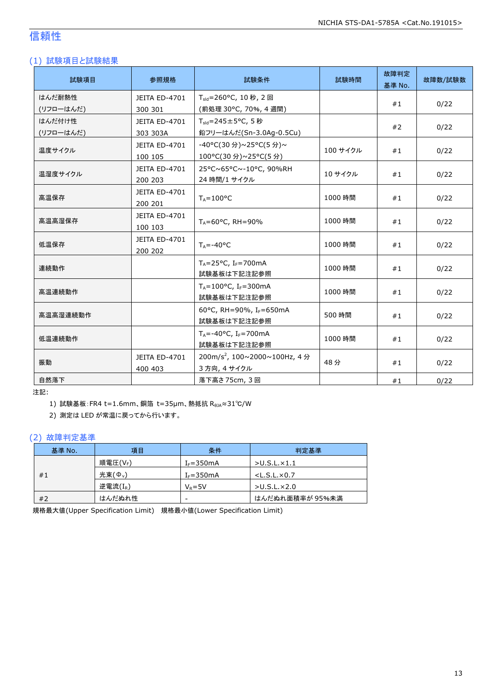### 信頼性

### (1) 試験項目と試験結果

| 試験項目      | 参照規格          | 試験条件                                       | 試験時間     | 故障判定<br>基準 No. | 故障数/試験数 |
|-----------|---------------|--------------------------------------------|----------|----------------|---------|
| はんだ耐熱性    | JEITA ED-4701 | $T_{\text{std}} = 260$ °C, 10 秒, 2 回       |          | #1             | 0/22    |
| (リフローはんだ) | 300 301       | (前処理 30°C, 70%, 4 週間)                      |          |                |         |
| はんだ付け性    | JEITA ED-4701 | $T_{\text{std}} = 245 \pm 5^{\circ}$ C, 5秒 |          | #2             | 0/22    |
| (リフローはんだ) | 303 303A      | 鉛フリーはんだ(Sn-3.0Ag-0.5Cu)                    |          |                |         |
| 温度サイクル    | JEITA ED-4701 | -40°C(30分)~25°C(5分)~                       | 100 サイクル | #1             |         |
|           | 100 105       | 100°C(30 分)~25°C(5 分)                      |          |                | 0/22    |
| 温湿度サイクル   | JEITA ED-4701 | 25°C~65°C~-10°C, 90%RH                     | 10 サイクル  |                |         |
|           | 200 203       | 24 時間/1 サイクル                               |          | #1             | 0/22    |
|           | JEITA ED-4701 |                                            |          |                |         |
| 高温保存      | 200 201       | $T_A = 100^{\circ}C$                       | 1000 時間  | #1             | 0/22    |
|           | JEITA ED-4701 |                                            | 1000 時間  | #1             | 0/22    |
| 高温高湿保存    | 100 103       | $T_A = 60^{\circ}$ C, RH = 90%             |          |                |         |
| 低温保存      | JEITA ED-4701 |                                            | 1000 時間  |                | 0/22    |
|           | 200 202       | $T_A = -40$ °C                             |          | #1             |         |
| 連続動作      |               | $T_A = 25$ °C, I <sub>F</sub> =700mA       | 1000 時間  |                |         |
|           | 試験基板は下記注記参照   |                                            |          | #1             | 0/22    |
|           |               | $T_A = 100$ °C, I <sub>F</sub> = 300 mA    |          |                |         |
| 高温連続動作    |               | 試験基板は下記注記参照                                | 1000 時間  | #1             | 0/22    |
|           |               | 60°C, RH=90%, IF=650mA                     |          |                |         |
| 高温高湿連続動作  |               | 試験基板は下記注記参照                                | 500 時間   | #1             | 0/22    |
|           |               | $T_A = -40$ °C, I <sub>F</sub> =700mA      |          |                |         |
| 低温連続動作    |               | 試験基板は下記注記参照                                | 1000 時間  | #1             | 0/22    |
|           | JEITA ED-4701 | 200m/s <sup>2</sup> , 100~2000~100Hz, 4分   |          |                |         |
| 振動        | 400 403       | 3 方向, 4 サイクル                               | 48分      | #1             | 0/22    |
| 自然落下      |               | 落下高さ 75cm, 3回                              |          | #1             | 0/22    |

注記:

1) 試験基板: FR4 t=1.6mm、銅箔 t=35μm、熱抵抗 RθJA≈31℃/W

2) 測定は LED が常温に戻ってから行います。

### (2) 故障判定基準

| 基準 No. | 項目                 | 条件            | 判定基準                    |
|--------|--------------------|---------------|-------------------------|
|        | 順電圧(VF)            | $I_F = 350mA$ | $>$ U.S.L. $\times$ 1.1 |
| #1     | 光束( $\Phi_{\nu}$ ) | $I_F = 350mA$ | $<$ L.S.L. $\times$ 0.7 |
|        | 逆電流 $(L_R)$        | $V_R = 5V$    | $>$ U.S.L. $\times$ 2.0 |
| #2     | はんだぬれ性             | -             | はんだぬれ面積率が 95%未満         |

規格最大値(Upper Specification Limit) 規格最小値(Lower Specification Limit)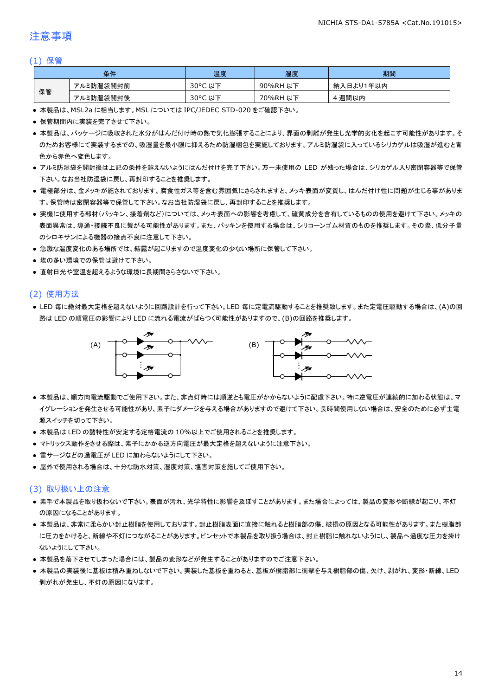### 注意事項

#### (1) 保管

|    | 条件        | 温度                    | 湿度       | 期間        |
|----|-----------|-----------------------|----------|-----------|
|    | アルミ防湿袋開封前 | $30^{\circ}$ C<br>以下  | 90%RH 以下 | 納入日より1年以内 |
| 保管 | アルミ防湿袋開封後 | $30^{\circ}$ C<br>,以下 | 70%RH 以下 | · 週間以内    |

● 本製品は、MSL2a に相当します。MSL については IPC/JEDEC STD-020 をご確認下さい。

- 保管期間内に実装を完了させて下さい。
- 本製品は、パッケージに吸収された水分がはんだ付け時の熱で気化膨張することにより、界面の剥離が発生し光学的劣化を起こす可能性があります。そ のためお客様にて実装するまでの、吸湿量を最小限に抑えるため防湿梱包を実施しております。アルミ防湿袋に入っているシリカゲルは吸湿が進むと青 色から赤色へ変色します。
- アルミ防湿袋を開封後は上記の条件を越えないようにはんだ付けを完了下さい。万一未使用の LED が残った場合は、シリカゲル入り密閉容器等で保管 下さい。なお当社防湿袋に戻し、再封印することを推奨します。
- 電極部分は、金メッキが施されております。腐食性ガス等を含む雰囲気にさらされますと、メッキ表面が変質し、はんだ付け性に問題が生じる事がありま す。保管時は密閉容器等で保管して下さい。なお当社防湿袋に戻し、再封印することを推奨します。
- 実機に使用する部材(パッキン、接着剤など)については、メッキ表面への影響を考慮して、硫黄成分を含有しているものの使用を避けて下さい。メッキの 表面異常は、導通・接続不良に繋がる可能性があります。また、パッキンを使用する場合は、シリコーンゴム材質のものを推奨します。その際、低分子量 のシロキサンによる機器の接点不良に注意して下さい。
- 急激な温度変化のある場所では、結露が起こりますので温度変化の少ない場所に保管して下さい。
- 埃の多い環境での保管は避けて下さい。
- 直射日光や室温を超えるような環境に長期間さらさないで下さい。

#### (2) 使用方法

● LED 毎に絶対最大定格を超えないように回路設計を行って下さい。LED 毎に定電流駆動することを推奨致します。また定電圧駆動する場合は、(A)の回 路は LED の順電圧の影響により LED に流れる電流がばらつく可能性がありますので、(B)の回路を推奨します。



- 本製品は、順方向電流駆動でご使用下さい。また、非点灯時には順逆とも電圧がかからないように配慮下さい。特に逆電圧が連続的に加わる状態は、マ イグレーションを発生させる可能性があり、素子にダメージを与える場合がありますので避けて下さい。長時間使用しない場合は、安全のために必ず主電 源スイッチを切って下さい。
- 本製品は LED の諸特性が安定する定格電流の 10%以上でご使用されることを推奨します。
- マトリックス動作をさせる際は、素子にかかる逆方向電圧が最大定格を超えないように注意下さい。
- 雷サージなどの過電圧が LED に加わらないようにして下さい。
- 屋外で使用される場合は、十分な防水対策、湿度対策、塩害対策を施してご使用下さい。

#### (3) 取り扱い上の注意

- 素手で本製品を取り扱わないで下さい。表面が汚れ、光学特性に影響を及ぼすことがあります。また場合によっては、製品の変形や断線が起こり、不灯 の原因になることがあります。
- 本製品は、非常に柔らかい封止樹脂を使用しております。封止樹脂表面に直接に触れると樹脂部の傷、破損の原因となる可能性があります。また樹脂部 に圧力をかけると、断線や不灯につながることがあります。ピンセットで本製品を取り扱う場合は、封止樹脂に触れないようにし、製品へ過度な圧力を掛け ないようにして下さい。
- 本製品を落下させてしまった場合には、製品の変形などが発生することがありますのでご注意下さい。
- 本製品の実装後に基板は積み重ねしないで下さい。実装した基板を重ねると、基板が樹脂部に衝撃を与え樹脂部の傷、欠け、剥がれ、変形・断線、LED 剥がれが発生し、不灯の原因になります。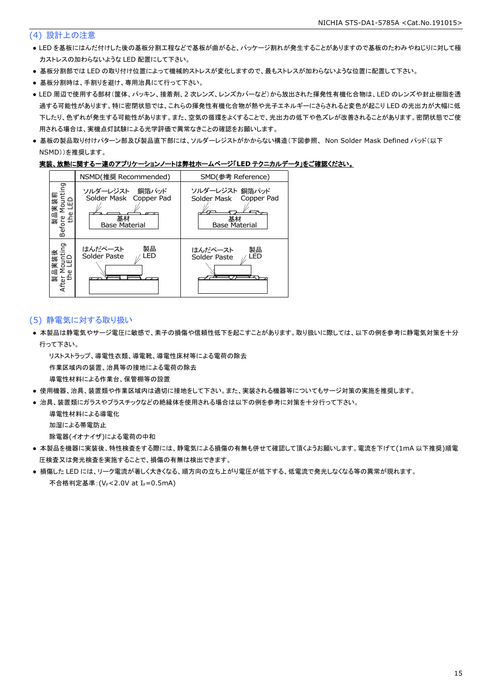### (4) 設計上の注意

- LED を基板にはんだ付けした後の基板分割工程などで基板が曲がると、パッケージ割れが発生することがありますので基板のたわみやねじりに対して極 力ストレスの加わらないような LED 配置にして下さい。
- 基板分割部では LED の取り付け位置によって機械的ストレスが変化しますので、最もストレスが加わらないような位置に配置して下さい。
- 基板分割時は、手割りを避け、専用治具にて行って下さい。
- LED 周辺で使用する部材(筐体、パッキン、接着剤、2 次レンズ、レンズカバーなど)から放出された揮発性有機化合物は、LED のレンズや封止樹脂を透 過する可能性があります。特に密閉状態では、これらの揮発性有機化合物が熱や光子エネルギーにさらされると変色が起こり LED の光出力が大幅に低 下したり、色ずれが発生する可能性があります。また、空気の循環をよくすることで、光出力の低下や色ズレが改善されることがあります。密閉状態でご使 用される場合は、実機点灯試験による光学評価で異常なきことの確認をお願いします。
- 基板の製品取り付けパターン部及び製品直下部には、ソルダーレジストがかからない構造(下図参照、 Non Solder Mask Defined パッド(以下 NSMD))を推奨します。

#### 実装、放熱に関する一連のアプリケーションノートは弊社ホームページ「**LED** テクニカルデータ」をご確認ください。



#### (5) 静電気に対する取り扱い

● 本製品は静電気やサージ電圧に敏感で、素子の損傷や信頼性低下を起こすことがあります。取り扱いに際しては、以下の例を参考に静電気対策を十分 行って下さい。

リストストラップ、導電性衣類、導電靴、導電性床材等による電荷の除去

作業区域内の装置、治具等の接地による電荷の除去

- 導電性材料による作業台、保管棚等の設置
- 使用機器、治具、装置類や作業区域内は適切に接地をして下さい。また、実装される機器等についてもサージ対策の実施を推奨します。
- 治具、装置類にガラスやプラスチックなどの絶縁体を使用される場合は以下の例を参考に対策を十分行って下さい。

導電性材料による導電化

加湿による帯電防止

除電器(イオナイザ)による電荷の中和

- 本製品を機器に実装後、特性検査をする際には、静電気による損傷の有無も併せて確認して頂くようお願いします。電流を下げて(1mA 以下推奨)順電 圧検査又は発光検査を実施することで、損傷の有無は検出できます。
- 損傷した LED には、リーク電流が著しく大きくなる、順方向の立ち上がり電圧が低下する、低電流で発光しなくなる等の異常が現れます。 不合格判定基準: (VF<2.0V at IF=0.5mA)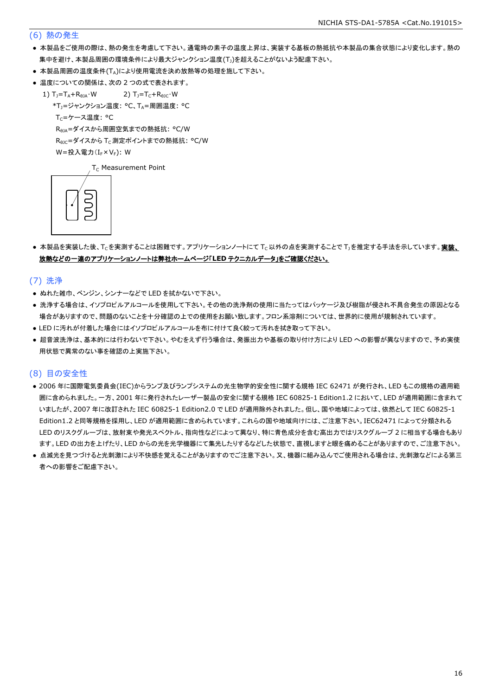#### (6) 熱の発生

- 本製品をご使用の際は、熱の発生を考慮して下さい。通電時の素子の温度上昇は、実装する基板の熱抵抗や本製品の集合状態により変化します。熱の 集中を避け、本製品周囲の環境条件により最大ジャンクション温度(T))を超えることがないよう配慮下さい。
- 本製品周囲の温度条件(TA)により使用電流を決め放熱等の処理を施して下さい。
- 温度についての関係は、次の2つの式で表されます。
	- 1)  $T_1 = T_A + R_{\thetaJA} \cdot W$  2)  $T_1 = T_C + R_{\thetaJC} \cdot W$ 
		- \*T<sub>1</sub>=ジャンクション温度: °C、TA=周囲温度: °C

 $T_C = \mathcal{F} - \mathcal{F}$ 温度: °C

RθJA=ダイスから周囲空気までの熱抵抗: °C/W

R<sub>0JC</sub>=ダイスから T<sub>C</sub> 測定ポイントまでの熱抵抗: °C/W

 $W = \frac{1}{2} \lambda \frac{1}{2} \sum_{r=1}^{\infty} (I_r \times V_r)$ : W

 $T_c$  Measurement Point



● 本製品を実装した後、Tcを実測することは困難です。アプリケーションノートにて Tc以外の点を実測することで T」を推定する手法を示しています。実装、 放熱などの一連のアプリケーションノートは弊社ホームページ「**LED** テクニカルデータ」をご確認ください。

(7) 洗浄

- ぬれた雑巾、ベンジン、シンナーなどで LED を拭かないで下さい。
- 洗浄する場合は、イソプロピルアルコールを使用して下さい。その他の洗浄剤の使用に当たってはパッケージ及び樹脂が侵され不具合発生の原因となる 場合がありますので、問題のないことを十分確認の上での使用をお願い致します。フロン系溶剤については、世界的に使用が規制されています。
- LED に汚れが付着した場合にはイソプロピルアルコールを布に付けて良く絞って汚れを拭き取って下さい。
- 超音波洗浄は、基本的には行わないで下さい。やむをえず行う場合は、発振出力や基板の取り付け方により LED への影響が異なりますので、予め実使 用状態で異常のない事を確認の上実施下さい。

### (8) 目の安全性

- 2006 年に国際電気委員会(IEC)からランプ及びランプシステムの光生物学的安全性に関する規格 IEC 62471 が発行され、LED もこの規格の適用範 囲に含められました。一方、2001 年に発行されたレーザー製品の安全に関する規格 IEC 60825-1 Edition1.2 において、LED が適用範囲に含まれて いましたが、2007 年に改訂された IEC 60825-1 Edition2.0 で LED が適用除外されました。但し、国や地域によっては、依然として IEC 60825-1 Edition1.2 と同等規格を採用し、LED が適用範囲に含められています。これらの国や地域向けには、ご注意下さい。IEC62471 によって分類される LED のリスクグループは、放射束や発光スペクトル、指向性などによって異なり、特に青色成分を含む高出力ではリスクグループ 2 に相当する場合もあり ます。LED の出力を上げたり、LED からの光を光学機器にて集光したりするなどした状態で、直視しますと眼を痛めることがありますので、ご注意下さい。
- 点滅光を見つづけると光刺激により不快感を覚えることがありますのでご注意下さい。又、機器に組み込んでご使用される場合は、光刺激などによる第三 者への影響をご配慮下さい。